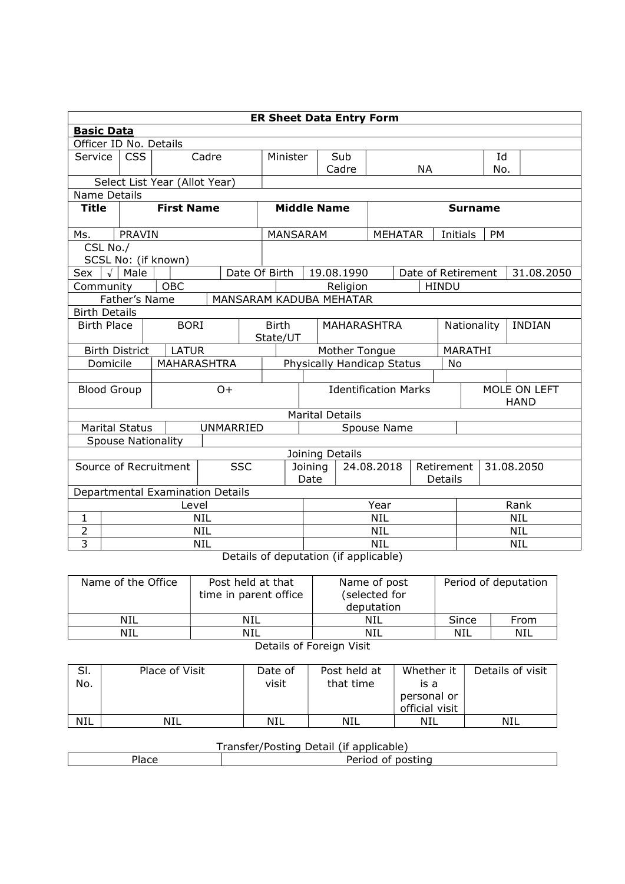|                                           | <b>ER Sheet Data Entry Form</b> |                               |                                  |                 |                                         |                          |                                     |                |                             |                    |               |           |            |
|-------------------------------------------|---------------------------------|-------------------------------|----------------------------------|-----------------|-----------------------------------------|--------------------------|-------------------------------------|----------------|-----------------------------|--------------------|---------------|-----------|------------|
|                                           | <b>Basic Data</b>               |                               |                                  |                 |                                         |                          |                                     |                |                             |                    |               |           |            |
|                                           | Officer ID No. Details          |                               |                                  |                 |                                         |                          |                                     |                |                             |                    |               |           |            |
| Service                                   | <b>CSS</b><br>Cadre             |                               |                                  | Minister        |                                         |                          | Sub                                 |                |                             |                    |               | Id        |            |
|                                           |                                 |                               |                                  |                 |                                         |                          | Cadre                               |                |                             | <b>NA</b>          |               | No.       |            |
|                                           |                                 | Select List Year (Allot Year) |                                  |                 |                                         |                          |                                     |                |                             |                    |               |           |            |
| <b>Name Details</b>                       |                                 |                               |                                  |                 |                                         |                          |                                     |                |                             |                    |               |           |            |
| <b>Title</b>                              |                                 | <b>First Name</b>             |                                  |                 | <b>Middle Name</b>                      |                          |                                     | <b>Surname</b> |                             |                    |               |           |            |
| Ms.                                       | PRAVIN                          |                               |                                  |                 | MANSARAM                                |                          |                                     |                | <b>MEHATAR</b>              |                    | Initials      | <b>PM</b> |            |
| CSL No./                                  |                                 |                               |                                  |                 |                                         |                          |                                     |                |                             |                    |               |           |            |
|                                           | SCSL No: (if known)             |                               |                                  |                 |                                         |                          |                                     |                |                             |                    |               |           |            |
| Sex                                       | $\sqrt{\phantom{a}}$ Male       |                               | Date Of Birth                    |                 |                                         |                          | 19.08.1990                          |                |                             | Date of Retirement |               |           | 31.08.2050 |
| Community                                 |                                 | <b>OBC</b>                    |                                  |                 |                                         |                          | Religion                            |                |                             | <b>HINDU</b>       |               |           |            |
|                                           | Father's Name                   |                               | MANSARAM KADUBA MEHATAR          |                 |                                         |                          |                                     |                |                             |                    |               |           |            |
| <b>Birth Details</b>                      |                                 |                               |                                  |                 |                                         |                          |                                     |                |                             |                    |               |           |            |
| <b>Birth Place</b>                        |                                 | <b>BORI</b>                   |                                  |                 | <b>Birth</b><br>MAHARASHTRA<br>State/UT |                          |                                     |                | Nationality                 |                    | <b>INDIAN</b> |           |            |
|                                           | <b>Birth District</b>           | <b>LATUR</b>                  |                                  |                 | Mother Tongue                           |                          |                                     |                |                             | <b>MARATHI</b>     |               |           |            |
| Domicile                                  |                                 | MAHARASHTRA                   |                                  |                 | Physically Handicap Status<br>No        |                          |                                     |                |                             |                    |               |           |            |
|                                           |                                 |                               |                                  |                 |                                         |                          |                                     |                |                             |                    |               |           |            |
|                                           | <b>Blood Group</b><br>$O +$     |                               |                                  |                 | <b>Identification Marks</b>             |                          |                                     |                | MOLE ON LEFT<br><b>HAND</b> |                    |               |           |            |
|                                           |                                 |                               |                                  |                 | <b>Marital Details</b>                  |                          |                                     |                |                             |                    |               |           |            |
| <b>UNMARRIED</b><br><b>Marital Status</b> |                                 |                               |                                  | Spouse Name     |                                         |                          |                                     |                |                             |                    |               |           |            |
|                                           | <b>Spouse Nationality</b>       |                               |                                  |                 |                                         |                          |                                     |                |                             |                    |               |           |            |
|                                           | Joining Details                 |                               |                                  |                 |                                         |                          |                                     |                |                             |                    |               |           |            |
| <b>SSC</b><br>Source of Recruitment       |                                 |                               |                                  | Joining<br>Date |                                         |                          | 24.08.2018<br>Retirement<br>Details |                | 31.08.2050                  |                    |               |           |            |
|                                           |                                 |                               | Departmental Examination Details |                 |                                         |                          |                                     |                |                             |                    |               |           |            |
|                                           | Level                           |                               |                                  |                 |                                         | Year                     |                                     |                |                             | Rank               |               |           |            |
| $\mathbf 1$                               | <b>NIL</b>                      |                               |                                  |                 |                                         | <b>NIL</b>               |                                     |                |                             | <b>NIL</b>         |               |           |            |
| $\overline{2}$                            | <b>NIL</b>                      |                               |                                  |                 |                                         | <b>NIL</b>               |                                     |                |                             | <b>NIL</b>         |               |           |            |
| 3                                         | <b>NIL</b>                      |                               |                                  |                 |                                         | <b>NIL</b><br><b>NIL</b> |                                     |                |                             |                    |               |           |            |

Details of deputation (if applicable)

| Name of the Office | Post held at that<br>time in parent office | Name of post<br>(selected for<br>deputation | Period of deputation |      |  |  |  |  |
|--------------------|--------------------------------------------|---------------------------------------------|----------------------|------|--|--|--|--|
| NIL                | NIL                                        | NIL                                         | Since                | From |  |  |  |  |
| NIL                | <b>NIL</b>                                 | NIL                                         | NIL                  | NIL  |  |  |  |  |
|                    |                                            |                                             |                      |      |  |  |  |  |

Details of Foreign Visit

| SI.<br>No. | Place of Visit | Date of<br>visit | Post held at<br>that time | Whether it<br>is a<br>personal or<br>official visit | Details of visit |
|------------|----------------|------------------|---------------------------|-----------------------------------------------------|------------------|
| <b>NIL</b> | <b>NIL</b>     | <b>NIL</b>       | NIL                       | NIL                                                 | NIL              |

## Transfer/Posting Detail (if applicable)

| 1d LE | l<br>nosting<br>ΩI<br>.oc |  |  |  |  |  |  |  |  |
|-------|---------------------------|--|--|--|--|--|--|--|--|
|       |                           |  |  |  |  |  |  |  |  |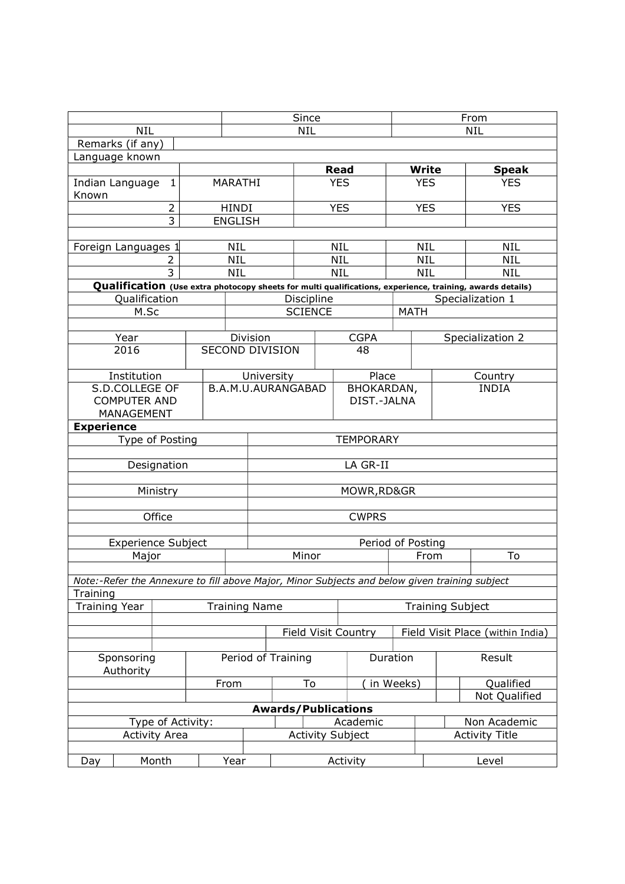| Remarks (if any)<br>Language known<br><b>Read</b><br>Write<br><b>Speak</b><br><b>YES</b><br><b>YES</b><br><b>YES</b><br><b>MARATHI</b><br>Indian Language<br>$\mathbf{1}$<br>Known<br><b>YES</b><br><b>YES</b><br><b>YES</b><br>2<br><b>HINDI</b><br>3<br><b>ENGLISH</b><br><b>NIL</b><br><b>NIL</b><br><b>NIL</b><br><b>NIL</b><br>Foreign Languages 1<br><b>NIL</b><br><b>NIL</b><br><b>NIL</b><br><b>NIL</b><br>2<br>$\overline{3}$<br><b>NIL</b><br><b>NIL</b><br><b>NIL</b><br><b>NIL</b><br>Qualification (Use extra photocopy sheets for multi qualifications, experience, training, awards details)<br>Qualification<br>Specialization 1<br>Discipline<br>M.Sc<br><b>SCIENCE</b><br><b>MATH</b><br>Year<br>Division<br><b>CGPA</b><br>Specialization 2<br>2016<br><b>SECOND DIVISION</b><br>48<br>Place<br>Institution<br>University<br>Country<br>S.D.COLLEGE OF<br>B.A.M.U.AURANGABAD<br>BHOKARDAN,<br><b>INDIA</b><br><b>COMPUTER AND</b><br>DIST.-JALNA<br>MANAGEMENT<br><b>Experience</b><br>Type of Posting<br><b>TEMPORARY</b><br>LA GR-II<br>Designation<br>Ministry<br>MOWR, RD&GR<br>Office<br><b>CWPRS</b> |            |  |  | Since      |  |  |  |  | From       |  |  |
|-------------------------------------------------------------------------------------------------------------------------------------------------------------------------------------------------------------------------------------------------------------------------------------------------------------------------------------------------------------------------------------------------------------------------------------------------------------------------------------------------------------------------------------------------------------------------------------------------------------------------------------------------------------------------------------------------------------------------------------------------------------------------------------------------------------------------------------------------------------------------------------------------------------------------------------------------------------------------------------------------------------------------------------------------------------------------------------------------------------------------------|------------|--|--|------------|--|--|--|--|------------|--|--|
|                                                                                                                                                                                                                                                                                                                                                                                                                                                                                                                                                                                                                                                                                                                                                                                                                                                                                                                                                                                                                                                                                                                               | <b>NIL</b> |  |  | <b>NIL</b> |  |  |  |  | <b>NIL</b> |  |  |
|                                                                                                                                                                                                                                                                                                                                                                                                                                                                                                                                                                                                                                                                                                                                                                                                                                                                                                                                                                                                                                                                                                                               |            |  |  |            |  |  |  |  |            |  |  |
|                                                                                                                                                                                                                                                                                                                                                                                                                                                                                                                                                                                                                                                                                                                                                                                                                                                                                                                                                                                                                                                                                                                               |            |  |  |            |  |  |  |  |            |  |  |
|                                                                                                                                                                                                                                                                                                                                                                                                                                                                                                                                                                                                                                                                                                                                                                                                                                                                                                                                                                                                                                                                                                                               |            |  |  |            |  |  |  |  |            |  |  |
|                                                                                                                                                                                                                                                                                                                                                                                                                                                                                                                                                                                                                                                                                                                                                                                                                                                                                                                                                                                                                                                                                                                               |            |  |  |            |  |  |  |  |            |  |  |
|                                                                                                                                                                                                                                                                                                                                                                                                                                                                                                                                                                                                                                                                                                                                                                                                                                                                                                                                                                                                                                                                                                                               |            |  |  |            |  |  |  |  |            |  |  |
|                                                                                                                                                                                                                                                                                                                                                                                                                                                                                                                                                                                                                                                                                                                                                                                                                                                                                                                                                                                                                                                                                                                               |            |  |  |            |  |  |  |  |            |  |  |
|                                                                                                                                                                                                                                                                                                                                                                                                                                                                                                                                                                                                                                                                                                                                                                                                                                                                                                                                                                                                                                                                                                                               |            |  |  |            |  |  |  |  |            |  |  |
|                                                                                                                                                                                                                                                                                                                                                                                                                                                                                                                                                                                                                                                                                                                                                                                                                                                                                                                                                                                                                                                                                                                               |            |  |  |            |  |  |  |  |            |  |  |
|                                                                                                                                                                                                                                                                                                                                                                                                                                                                                                                                                                                                                                                                                                                                                                                                                                                                                                                                                                                                                                                                                                                               |            |  |  |            |  |  |  |  |            |  |  |
|                                                                                                                                                                                                                                                                                                                                                                                                                                                                                                                                                                                                                                                                                                                                                                                                                                                                                                                                                                                                                                                                                                                               |            |  |  |            |  |  |  |  |            |  |  |
|                                                                                                                                                                                                                                                                                                                                                                                                                                                                                                                                                                                                                                                                                                                                                                                                                                                                                                                                                                                                                                                                                                                               |            |  |  |            |  |  |  |  |            |  |  |
|                                                                                                                                                                                                                                                                                                                                                                                                                                                                                                                                                                                                                                                                                                                                                                                                                                                                                                                                                                                                                                                                                                                               |            |  |  |            |  |  |  |  |            |  |  |
|                                                                                                                                                                                                                                                                                                                                                                                                                                                                                                                                                                                                                                                                                                                                                                                                                                                                                                                                                                                                                                                                                                                               |            |  |  |            |  |  |  |  |            |  |  |
|                                                                                                                                                                                                                                                                                                                                                                                                                                                                                                                                                                                                                                                                                                                                                                                                                                                                                                                                                                                                                                                                                                                               |            |  |  |            |  |  |  |  |            |  |  |
|                                                                                                                                                                                                                                                                                                                                                                                                                                                                                                                                                                                                                                                                                                                                                                                                                                                                                                                                                                                                                                                                                                                               |            |  |  |            |  |  |  |  |            |  |  |
|                                                                                                                                                                                                                                                                                                                                                                                                                                                                                                                                                                                                                                                                                                                                                                                                                                                                                                                                                                                                                                                                                                                               |            |  |  |            |  |  |  |  |            |  |  |
|                                                                                                                                                                                                                                                                                                                                                                                                                                                                                                                                                                                                                                                                                                                                                                                                                                                                                                                                                                                                                                                                                                                               |            |  |  |            |  |  |  |  |            |  |  |
|                                                                                                                                                                                                                                                                                                                                                                                                                                                                                                                                                                                                                                                                                                                                                                                                                                                                                                                                                                                                                                                                                                                               |            |  |  |            |  |  |  |  |            |  |  |
|                                                                                                                                                                                                                                                                                                                                                                                                                                                                                                                                                                                                                                                                                                                                                                                                                                                                                                                                                                                                                                                                                                                               |            |  |  |            |  |  |  |  |            |  |  |
|                                                                                                                                                                                                                                                                                                                                                                                                                                                                                                                                                                                                                                                                                                                                                                                                                                                                                                                                                                                                                                                                                                                               |            |  |  |            |  |  |  |  |            |  |  |
|                                                                                                                                                                                                                                                                                                                                                                                                                                                                                                                                                                                                                                                                                                                                                                                                                                                                                                                                                                                                                                                                                                                               |            |  |  |            |  |  |  |  |            |  |  |
|                                                                                                                                                                                                                                                                                                                                                                                                                                                                                                                                                                                                                                                                                                                                                                                                                                                                                                                                                                                                                                                                                                                               |            |  |  |            |  |  |  |  |            |  |  |
|                                                                                                                                                                                                                                                                                                                                                                                                                                                                                                                                                                                                                                                                                                                                                                                                                                                                                                                                                                                                                                                                                                                               |            |  |  |            |  |  |  |  |            |  |  |
|                                                                                                                                                                                                                                                                                                                                                                                                                                                                                                                                                                                                                                                                                                                                                                                                                                                                                                                                                                                                                                                                                                                               |            |  |  |            |  |  |  |  |            |  |  |
|                                                                                                                                                                                                                                                                                                                                                                                                                                                                                                                                                                                                                                                                                                                                                                                                                                                                                                                                                                                                                                                                                                                               |            |  |  |            |  |  |  |  |            |  |  |
| <b>Experience Subject</b><br>Period of Posting                                                                                                                                                                                                                                                                                                                                                                                                                                                                                                                                                                                                                                                                                                                                                                                                                                                                                                                                                                                                                                                                                |            |  |  |            |  |  |  |  |            |  |  |
| Minor<br>From<br>To<br>Major                                                                                                                                                                                                                                                                                                                                                                                                                                                                                                                                                                                                                                                                                                                                                                                                                                                                                                                                                                                                                                                                                                  |            |  |  |            |  |  |  |  |            |  |  |
|                                                                                                                                                                                                                                                                                                                                                                                                                                                                                                                                                                                                                                                                                                                                                                                                                                                                                                                                                                                                                                                                                                                               |            |  |  |            |  |  |  |  |            |  |  |
| Note:-Refer the Annexure to fill above Major, Minor Subjects and below given training subject<br>Training                                                                                                                                                                                                                                                                                                                                                                                                                                                                                                                                                                                                                                                                                                                                                                                                                                                                                                                                                                                                                     |            |  |  |            |  |  |  |  |            |  |  |
| <b>Training Year</b><br><b>Training Name</b><br><b>Training Subject</b>                                                                                                                                                                                                                                                                                                                                                                                                                                                                                                                                                                                                                                                                                                                                                                                                                                                                                                                                                                                                                                                       |            |  |  |            |  |  |  |  |            |  |  |
|                                                                                                                                                                                                                                                                                                                                                                                                                                                                                                                                                                                                                                                                                                                                                                                                                                                                                                                                                                                                                                                                                                                               |            |  |  |            |  |  |  |  |            |  |  |
| Field Visit Place (within India)<br><b>Field Visit Country</b>                                                                                                                                                                                                                                                                                                                                                                                                                                                                                                                                                                                                                                                                                                                                                                                                                                                                                                                                                                                                                                                                |            |  |  |            |  |  |  |  |            |  |  |
| Sponsoring<br>Period of Training<br>Duration<br>Result                                                                                                                                                                                                                                                                                                                                                                                                                                                                                                                                                                                                                                                                                                                                                                                                                                                                                                                                                                                                                                                                        | Authority  |  |  |            |  |  |  |  |            |  |  |
| Qualified<br>To<br>in Weeks)<br>From                                                                                                                                                                                                                                                                                                                                                                                                                                                                                                                                                                                                                                                                                                                                                                                                                                                                                                                                                                                                                                                                                          |            |  |  |            |  |  |  |  |            |  |  |
| Not Qualified                                                                                                                                                                                                                                                                                                                                                                                                                                                                                                                                                                                                                                                                                                                                                                                                                                                                                                                                                                                                                                                                                                                 |            |  |  |            |  |  |  |  |            |  |  |
| <b>Awards/Publications</b>                                                                                                                                                                                                                                                                                                                                                                                                                                                                                                                                                                                                                                                                                                                                                                                                                                                                                                                                                                                                                                                                                                    |            |  |  |            |  |  |  |  |            |  |  |
| Academic<br>Non Academic<br>Type of Activity:                                                                                                                                                                                                                                                                                                                                                                                                                                                                                                                                                                                                                                                                                                                                                                                                                                                                                                                                                                                                                                                                                 |            |  |  |            |  |  |  |  |            |  |  |
| <b>Activity Area</b><br><b>Activity Subject</b><br><b>Activity Title</b>                                                                                                                                                                                                                                                                                                                                                                                                                                                                                                                                                                                                                                                                                                                                                                                                                                                                                                                                                                                                                                                      |            |  |  |            |  |  |  |  |            |  |  |
| Month<br>Year<br>Level<br>Activity<br>Day                                                                                                                                                                                                                                                                                                                                                                                                                                                                                                                                                                                                                                                                                                                                                                                                                                                                                                                                                                                                                                                                                     |            |  |  |            |  |  |  |  |            |  |  |